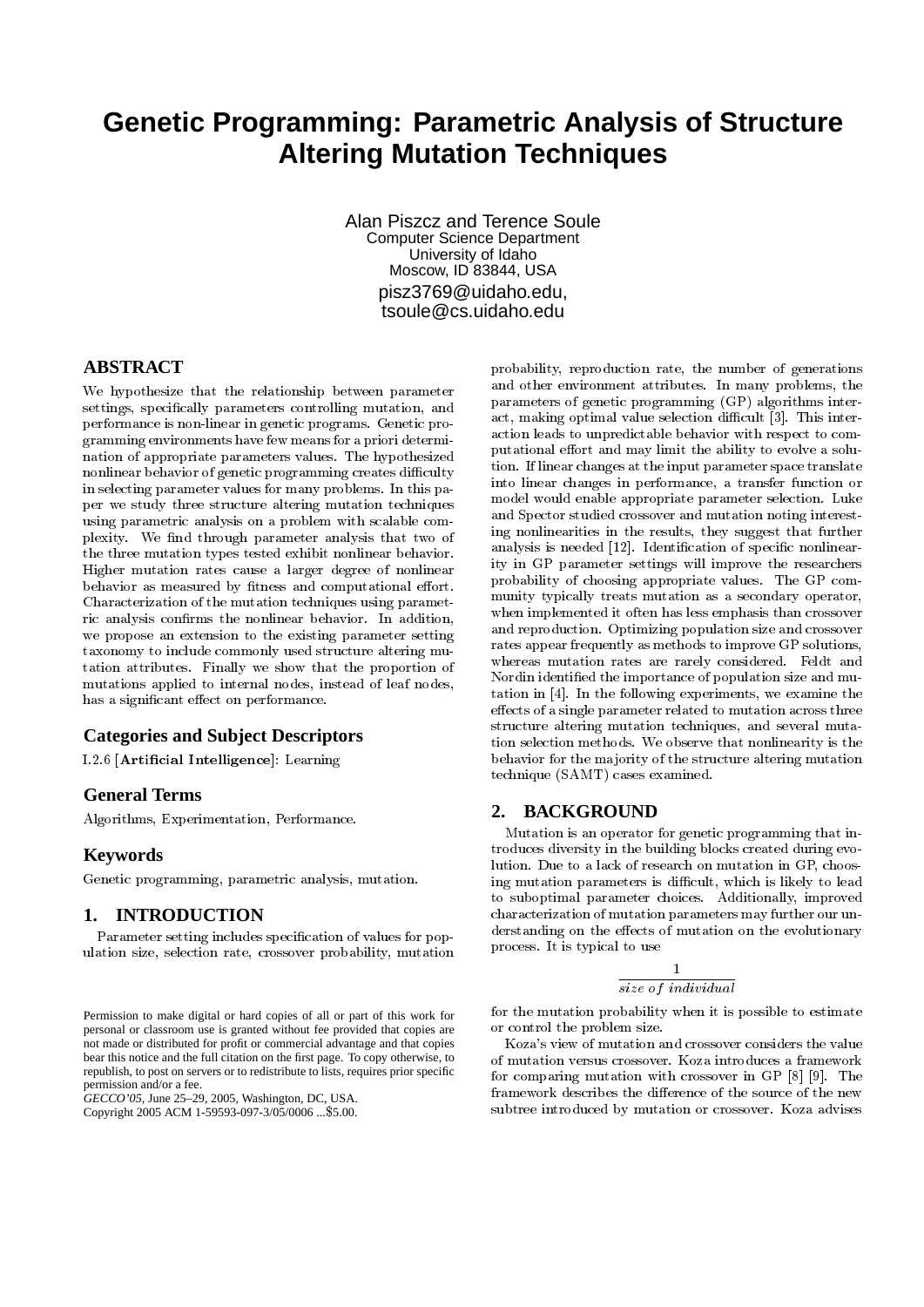# **Genetic Programming: Parametric Analysis of Structure Altering Mutation Techniques**

Alan Piszcz and Terence Soule Computer Science Department University of Idaho Moscow, ID 83844, USA pisz3769@uidaho.edu, tsoule@cs.uidaho.edu

## **ABSTRACT**

We hypothesize that the relationship between parameter settings, specifically parameters controlling mutation, and performance is non-linear in genetic programs. Genetic programming environments have few means for a priori determination of appropriate parameters values. The hypothesized nonlinear behavior of genetic programming creates difficulty in selecting parameter values for many problems. In this paper we study three structure altering mutation techniques using parametric analysis on a problem with scalable complexity. We find through parameter analysis that two of the three mutation types tested exhibit nonlinear behavior. Higher mutation rates cause a larger degree of nonlinear behavior as measured by fitness and computational effort. Characterization of the mutation techniques using parametric analysis conrms the nonlinear behavior. In addition, we propose an extension to the existing parameter setting taxonomy to include commonly used structure altering mutation attributes. Finally we show that the proportion of mutations applied to internal nodes, instead of leaf nodes, has a significant effect on performance.

### **Categories and Subject Descriptors**

I.2.6 [Articial Intelligence]: Learning

### **General Terms**

Algorithms, Experimentation, Performance.

### **Keywords**

Genetic programming, parametric analysis, mutation.

### **1. INTRODUCTION**

Parameter setting includes specification of values for population size, selection rate, crossover probability, mutation

*GECCO'05,* June 25–29, 2005, Washington, DC, USA.

Copyright 2005 ACM 1-59593-097-3/05/0006 ...\$5.00.

probability, reproduction rate, the number of generations and other environment attributes. In many problems, the parameters of genetic programming (GP) algorithms interact, making optimal value selection difficult [3]. This interaction leads to unpredictable behavior with respect to computational effort and may limit the ability to evolve a solution. If linear changes at the input parameter space translate into linear changes in performance, a transfer function or model would enable appropriate parameter selection. Luke and Spector studied crossover and mutation noting interesting nonlinearities in the results, they suggest that further analysis is needed [12]. Identification of specific nonlinearity in GP parameter settings will improve the researchers probability of choosing appropriate values. The GP community typically treats mutation as a secondary operator, when implemented it often has less emphasis than crossover and reproduction. Optimizing population size and crossover rates appear frequently as methods to improve GP solutions, whereas mutation rates are rarely considered. Feldt and Nordin identied the importance of population size and mutation in [4]. In the following experiments, we examine the effects of a single parameter related to mutation across three structure altering mutation techniques, and several mutation selection methods. We observe that nonlinearity is the behavior for the majority of the structure altering mutation technique (SAMT) cases examined.

### **2. BACKGROUND**

Mutation is an operator for genetic programming that introduces diversity in the building blocks created during evolution. Due to a lack of research on mutation in GP, choosing mutation parameters is difficult, which is likely to lead to suboptimal parameter choices. Additionally, improved characterization of mutation parameters may further our understanding on the effects of mutation on the evolutionary process. It is typical to use

$$
\frac{1}{size\ of\ individual}
$$

for the mutation probability when it is possible to estimate or control the problem size.

Koza's view of mutation and crossover considers the value of mutation versus crossover. Koza introduces a framework for comparing mutation with crossover in GP [8] [9]. The framework describes the difference of the source of the new subtree introduced by mutation or crossover. Koza advises

Permission to make digital or hard copies of all or part of this work for personal or classroom use is granted without fee provided that copies are not made or distributed for profit or commercial advantage and that copies bear this notice and the full citation on the first page. To copy otherwise, to republish, to post on servers or to redistribute to lists, requires prior specific permission and/or a fee.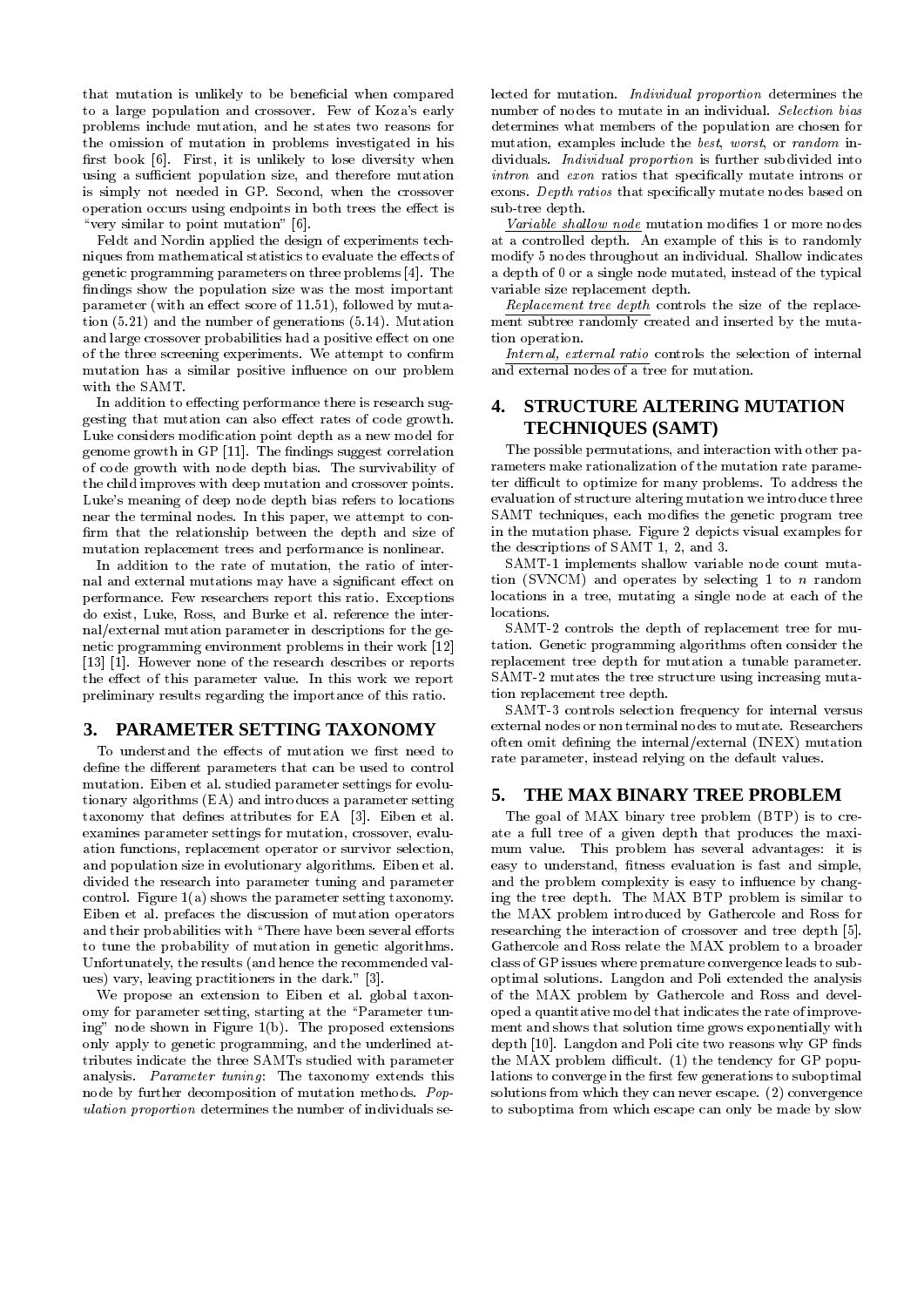that mutation is unlikely to be beneficial when compared to a large population and crossover. Few of Koza's early problems include mutation, and he states two reasons for the omission of mutation in problems investigated in his first book [6]. First, it is unlikely to lose diversity when using a sufficient population size, and therefore mutation is simply not needed in GP. Second, when the crossover operation occurs using endpoints in both trees the effect is "very similar to point mutation"  $[6]$ .

Feldt and Nordin applied the design of experiments techniques from mathematical statistics to evaluate the effects of genetic programming parameters on three problems [4]. The findings show the population size was the most important parameter (with an effect score of  $11.51$ ), followed by mutation (5.21) and the number of generations (5.14). Mutation and large crossover probabilities had a positive effect on one of the three screening experiments. We attempt to confirm mutation has a similar positive influence on our problem with the SAMT.

In addition to effecting performance there is research suggesting that mutation can also effect rates of code growth. Luke considers modification point depth as a new model for genome growth in GP [11]. The findings suggest correlation of code growth with node depth bias. The survivability of the child improves with deep mutation and crossover points. Luke's meaning of deep node depth bias refers to locations near the terminal nodes. In this paper, we attempt to con firm that the relationship between the depth and size of mutation replacement trees and performance is nonlinear.

In addition to the rate of mutation, the ratio of internal and external mutations may have a significant effect on performance. Few researchers report this ratio. Exceptions do exist, Luke, Ross, and Burke et al. reference the internal/external mutation parameter in descriptions for the genetic programming environment problems in their work [12] [13] [1]. However none of the research describes or reports the effect of this parameter value. In this work we report preliminary results regarding the importance of this ratio.

## **3. PARAMETER SETTING TAXONOMY**

To understand the effects of mutation we first need to define the different parameters that can be used to control mutation. Eiben et al. studied parameter settings for evolutionary algorithms (EA) and introduces a parameter setting taxonomy that defines attributes for EA [3]. Eiben et al. examines parameter settings for mutation, crossover, evaluation functions, replacement operator or survivor selection, and population size in evolutionary algorithms. Eiben et al. divided the research into parameter tuning and parameter control. Figure 1(a) shows the parameter setting taxonomy. Eiben et al. prefaces the discussion of mutation operators and their probabilities with "There have been several efforts to tune the probability of mutation in genetic algorithms. Unfortunately, the results (and hence the recommended values) vary, leaving practitioners in the dark." [3].

We propose an extension to Eiben et al. global taxonomy for parameter setting, starting at the \Parameter tuning" node shown in Figure 1(b). The proposed extensions only apply to genetic programming, and the underlined attributes indicate the three SAMTs studied with parameter analysis. Parameter tuning: The taxonomy extends this node by further decomposition of mutation methods. Population proportion determines the number of individuals selected for mutation. Individual proportion determines the number of nodes to mutate in an individual. Selection bias determines what members of the population are chosen for mutation, examples include the best, worst, or random individuals. Individual proportion is further subdivided into intron and exon ratios that specifically mutate introns or exons. Depth ratios that specifically mutate nodes based on sub-tree depth.

Variable shallow node mutation modifies 1 or more nodes at a controlled depth. An example of this is to randomly modify 5 nodes throughout an individual. Shallow indicates a depth of 0 or a single node mutated, instead of the typical variable size replacement depth.

Replacement tree depth controls the size of the replacement subtree randomly created and inserted by the mutation operation.

Internal, external ratio controls the selection of internal and external nodes of a tree for mutation.

## **4. STRUCTURE ALTERING MUTATION TECHNIQUES (SAMT)**

The possible permutations, and interaction with other parameters make rationalization of the mutation rate parameter difficult to optimize for many problems. To address the evaluation of structure altering mutation we introduce three SAMT techniques, each modifies the genetic program tree in the mutation phase. Figure 2 depicts visual examples for the descriptions of SAMT 1, 2, and 3.

SAMT-1 implements shallow variable node count mutation (SVNCM) and operates by selecting 1 to  $n$  random locations in a tree, mutating a single node at each of the locations.

SAMT-2 controls the depth of replacement tree for mutation. Genetic programming algorithms often consider the replacement tree depth for mutation a tunable parameter. SAMT-2 mutates the tree structure using increasing mutation replacement tree depth.

SAMT-3 controls selection frequency for internal versus external nodes or non terminal nodes to mutate. Researchers often omit defining the internal/external (INEX) mutation rate parameter, instead relying on the default values.

### **5. THE MAX BINARY TREE PROBLEM**

The goal of MAX binary tree problem (BTP) is to create a full tree of a given depth that produces the maximum value. This problem has several advantages: it is easy to understand, fitness evaluation is fast and simple, and the problem complexity is easy to influence by changing the tree depth. The MAX BTP problem is similar to the MAX problem introduced by Gathercole and Ross for researching the interaction of crossover and tree depth [5]. Gathercole and Ross relate the MAX problem to a broader class of GP issues where premature convergence leads to suboptimal solutions. Langdon and Poli extended the analysis of the MAX problem by Gathercole and Ross and developed a quantitative model that indicates the rate of improvement and shows that solution time grows exponentially with depth [10]. Langdon and Poli cite two reasons why GP finds the MAX problem difficult.  $(1)$  the tendency for GP populations to converge in the first few generations to suboptimal solutions from which they can never escape. (2) convergence to suboptima from which escape can only be made by slow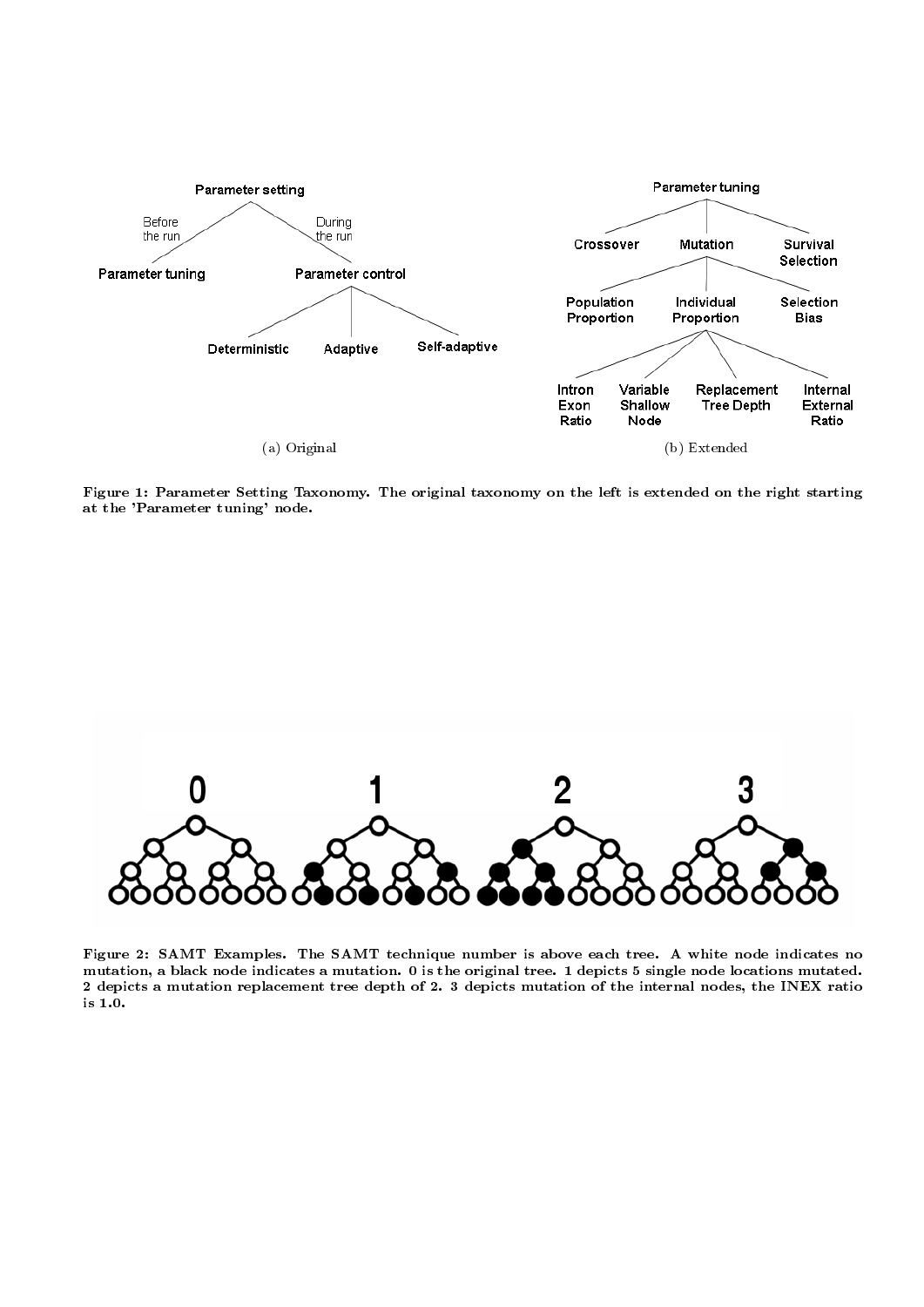

Figure 1: Parameter Setting Taxonomy. The original taxonomy on the left is extended on the right starting at the 'Parameter tuning' node.



Figure 2: SAMT Examples. The SAMT technique number is above each tree. A white node indicates no mutation, a black node indicates a mutation. 0 is the original tree. 1 depicts 5 single node locations mutated. 2 depicts a mutation replacement tree depth of 2. 3 depicts mutation of the internal nodes, the INEX ratio is 1.0.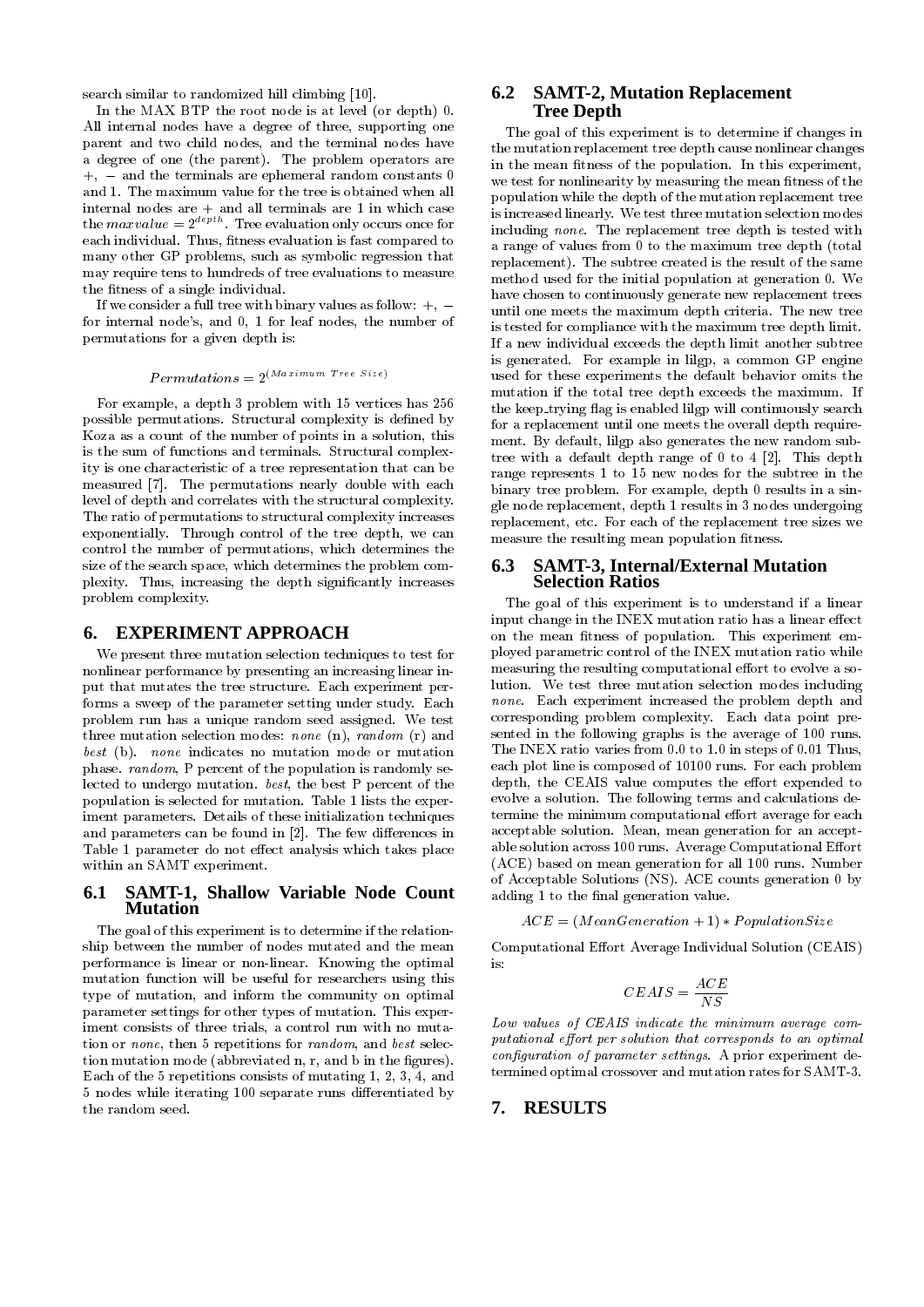search similar to randomized hill climbing [10].

In the MAX BTP the root node is at level (or depth) 0. All internal nodes have a degree of three, supporting one parent and two child nodes, and the terminal nodes have a degree of one (the parent). The problem operators are  $+$ ,  $-$  and the terminals are ephemeral random constants 0 and 1. The maximum value for the tree is obtained when all internal nodes are + and all terminals are 1 in which case the  $maxvalue = 2^{depth}$ . Tree evaluation only occurs once for each individual. Thus, fitness evaluation is fast compared to many other GP problems, such as symbolic regression that may require tens to hundreds of tree evaluations to measure the fitness of a single individual.

If we consider a full tree with binary values as follow:  $+$ ,  $$ for internal node's, and 0, 1 for leaf nodes, the number of permutations for a given depth is:

## $Permutations = 2^{(Maximum\ Tree\ Size)}$

For example, a depth 3 problem with 15 vertices has 256 possible permutations. Structural complexity is defined by Koza as a count of the number of points in a solution, this is the sum of functions and terminals. Structural complexity is one characteristic of a tree representation that can be measured [7]. The permutations nearly double with each level of depth and correlates with the structural complexity. The ratio of permutations to structural complexity increases exponentially. Through control of the tree depth, we can control the number of permutations, which determines the size of the search space, which determines the problem complexity. Thus, increasing the depth signicantly increases problem complexity.

### **6. EXPERIMENT APPROACH**

We present three mutation selection techniques to test for nonlinear performance by presenting an increasing linear input that mutates the tree structure. Each experiment performs a sweep of the parameter setting under study. Each problem run has a unique random seed assigned. We test three mutation selection modes: none (n), random (r) and best (b). none indicates no mutation mode or mutation phase. random, P percent of the population is randomly selected to undergo mutation. best, the best P percent of the population is selected for mutation. Table 1 lists the experiment parameters. Details of these initialization techniques and parameters can be found in  $[2]$ . The few differences in Table 1 parameter do not effect analysis which takes place within an SAMT experiment.

### **6.1 SAMT-1, Shallow Variable Node Count Mutation**

The goal of this experiment is to determine if the relationship between the number of nodes mutated and the mean performance is linear or non-linear. Knowing the optimal mutation function will be useful for researchers using this type of mutation, and inform the community on optimal parameter settings for other types of mutation. This experiment consists of three trials, a control run with no mutation or none, then 5 repetitions for random, and best selection mutation mode (abbreviated  $n, r,$  and  $b$  in the figures). Each of the 5 repetitions consists of mutating 1, 2, 3, 4, and 5 nodes while iterating 100 separate runs differentiated by the random seed.

### **6.2 SAMT-2, Mutation Replacement Tree Depth**

The goal of this experiment is to determine if changes in the mutation replacement tree depth cause nonlinear changes in the mean fitness of the population. In this experiment, we test for nonlinearity by measuring the mean fitness of the population while the depth of the mutation replacement tree is increased linearly. We test three mutation selection modes including none. The replacement tree depth is tested with a range of values from 0 to the maximum tree depth (total replacement). The subtree created is the result of the same method used for the initial population at generation 0. We have chosen to continuously generate new replacement trees until one meets the maximum depth criteria. The new tree is tested for compliance with the maximum tree depth limit. If a new individual exceeds the depth limit another subtree is generated. For example in lilgp, a common GP engine used for these experiments the default behavior omits the mutation if the total tree depth exceeds the maximum. If the keep\_trying flag is enabled lilgp will continuously search for a replacement until one meets the overall depth requirement. By default, lilgp also generates the new random subtree with a default depth range of 0 to 4 [2]. This depth range represents 1 to 15 new nodes for the subtree in the binary tree problem. For example, depth 0 results in a single node replacement, depth 1 results in 3 nodes undergoing replacement, etc. For each of the replacement tree sizes we measure the resulting mean population fitness.

#### **6.3 SAMT-3, Internal/External Mutation Selection Ratios**

The goal of this experiment is to understand if a linear input change in the INEX mutation ratio has a linear effect on the mean fitness of population. This experiment employed parametric control of the INEX mutation ratio while measuring the resulting computational effort to evolve a solution. We test three mutation selection modes including none. Each experiment increased the problem depth and corresponding problem complexity. Each data point presented in the following graphs is the average of 100 runs. The INEX ratio varies from 0.0 to 1.0 in steps of 0.01 Thus, each plot line is composed of 10100 runs. For each problem depth, the CEAIS value computes the effort expended to evolve a solution. The following terms and calculations determine the minimum computational effort average for each acceptable solution. Mean, mean generation for an acceptable solution across 100 runs. Average Computational Effort (ACE) based on mean generation for all 100 runs. Number of Acceptable Solutions (NS). ACE counts generation 0 by adding 1 to the final generation value.

$$
ACE = (MeanGeneration + 1) * PopulationSize
$$

Computational Effort Average Individual Solution (CEAIS) is:

$$
CEAIS = \frac{ACE}{NS}
$$

Low values of CEAIS indicate the minimum average computational effort per solution that corresponds to an optimal configuration of parameter settings. A prior experiment determined optimal crossover and mutation rates for SAMT-3.

### **7. RESULTS**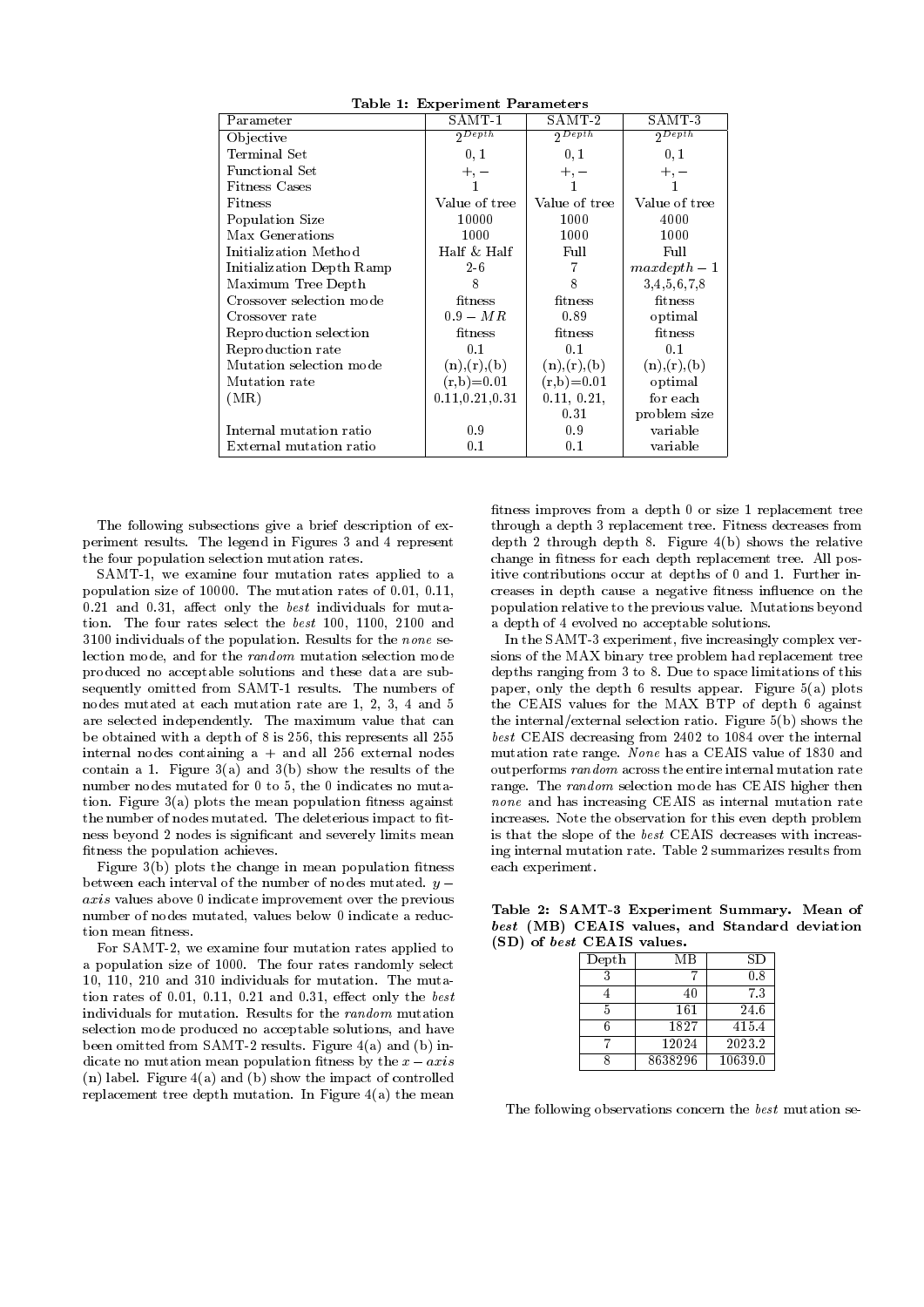| Parameter                 | SAMT-1           | SAMT-2        | SAMT-3        |
|---------------------------|------------------|---------------|---------------|
| Objective                 | $2^{Depth}$      | $2^{Depth}$   | $2^{Depth}$   |
| Terminal Set              | 0, 1             | 0,1           | 0, 1          |
| <b>Functional Set</b>     | $+$ ,            | $+,-$         | $+,-$         |
| <b>Fitness Cases</b>      |                  |               |               |
| Fitness                   | Value of tree    | Value of tree | Value of tree |
| Population Size           | 10000            | 1000          | 4000          |
| Max Generations           | 1000             | 1000          | 1000          |
| Initialization Method     | Half & Half      | Full          | Full          |
| Initialization Depth Ramp | $2-6$            | 7             | $maxdepth-1$  |
| Maximum Tree Depth        | 8                | 8             | 3,4,5,6,7,8   |
| Crossover selection mode  | fitness          | fitness       | fitness       |
| Crossover rate            | $0.9 - MR$       | 0.89          | optimal       |
| Reproduction selection    | fitness          | fitness       | fitness       |
| Reproduction rate         | 0.1              | 0.1           | 0.1           |
| Mutation selection mode   | (n),(r),(b)      | (n),(r),(b)   | (n),(r),(b)   |
| Mutation rate             | $(r, b) = 0.01$  | $(r,b)=0.01$  | optimal       |
| $(\mathrm{MR})$           | 0.11, 0.21, 0.31 | 0.11, 0.21,   | for each      |
|                           |                  | 0.31          | problem size  |
| Internal mutation ratio   | 0.9              | 0.9           | variable      |
| External mutation ratio   | 0.1              | 0.1           | variable      |

Table 1: Experiment Parameters

The following subsections give a brief description of experiment results. The legend in Figures 3 and 4 represent the four population selection mutation rates.

SAMT-1, we examine four mutation rates applied to a population size of 10000. The mutation rates of 0.01, 0.11,  $0.21$  and  $0.31$ , affect only the *best* individuals for mutation. The four rates select the best 100, 1100, 2100 and 3100 individuals of the population. Results for the none selection mode, and for the random mutation selection mode produced no acceptable solutions and these data are subsequently omitted from SAMT-1 results. The numbers of nodes mutated at each mutation rate are 1, 2, 3, 4 and 5 are selected independently. The maximum value that can be obtained with a depth of 8 is 256, this represents all 255 internal nodes containing a + and all 256 external nodes contain a 1. Figure  $3(a)$  and  $3(b)$  show the results of the number nodes mutated for 0 to 5, the 0 indicates no mutation. Figure  $3(a)$  plots the mean population fitness against the number of nodes mutated. The deleterious impact to fitness beyond 2 nodes is signicant and severely limits mean fitness the population achieves.

Figure  $3(b)$  plots the change in mean population fitness between each interval of the number of nodes mutated.  $y$ axis values above 0 indicate improvement over the previous number of nodes mutated, values below 0 indicate a reduction mean fitness.

For SAMT-2, we examine four mutation rates applied to a population size of 1000. The four rates randomly select 10, 110, 210 and 310 individuals for mutation. The mutation rates of  $0.01$ ,  $0.11$ ,  $0.21$  and  $0.31$ , effect only the *best* individuals for mutation. Results for the random mutation selection mode produced no acceptable solutions, and have been omitted from SAMT-2 results. Figure 4(a) and (b) indicate no mutation mean population fitness by the  $x-axis$ (n) label. Figure 4(a) and (b) show the impact of controlled replacement tree depth mutation. In Figure 4(a) the mean

fitness improves from a depth 0 or size 1 replacement tree through a depth 3 replacement tree. Fitness decreases from depth 2 through depth 8. Figure 4(b) shows the relative change in fitness for each depth replacement tree. All positive contributions occur at depths of 0 and 1. Further increases in depth cause a negative fitness influence on the population relative to the previous value. Mutations beyond a depth of 4 evolved no acceptable solutions.

In the SAMT-3 experiment, five increasingly complex versions of the MAX binary tree problem had replacement tree depths ranging from 3 to 8. Due to space limitations of this paper, only the depth 6 results appear. Figure 5(a) plots the CEAIS values for the MAX BTP of depth 6 against the internal/external selection ratio. Figure 5(b) shows the best CEAIS decreasing from 2402 to 1084 over the internal mutation rate range. None has a CEAIS value of 1830 and outperforms random across the entire internal mutation rate range. The *random* selection mode has CEAIS higher then none and has increasing CEAIS as internal mutation rate increases. Note the observation for this even depth problem is that the slope of the best CEAIS decreases with increasing internal mutation rate. Table 2 summarizes results from each experiment.

Table 2: SAMT-3 Experiment Summary. Mean of best (MB) CEAIS values, and Standard deviation (SD) of best CEAIS values.

| Depth | MВ      | SD      |
|-------|---------|---------|
| 3     |         | 0.8     |
|       | 40      | 7.3     |
| 5     | 161     | 24.6    |
| հ     | 1827    | 415.4   |
|       | 12024   | 2023.2  |
|       | 8638296 | 10639.0 |

The following observations concern the best mutation se-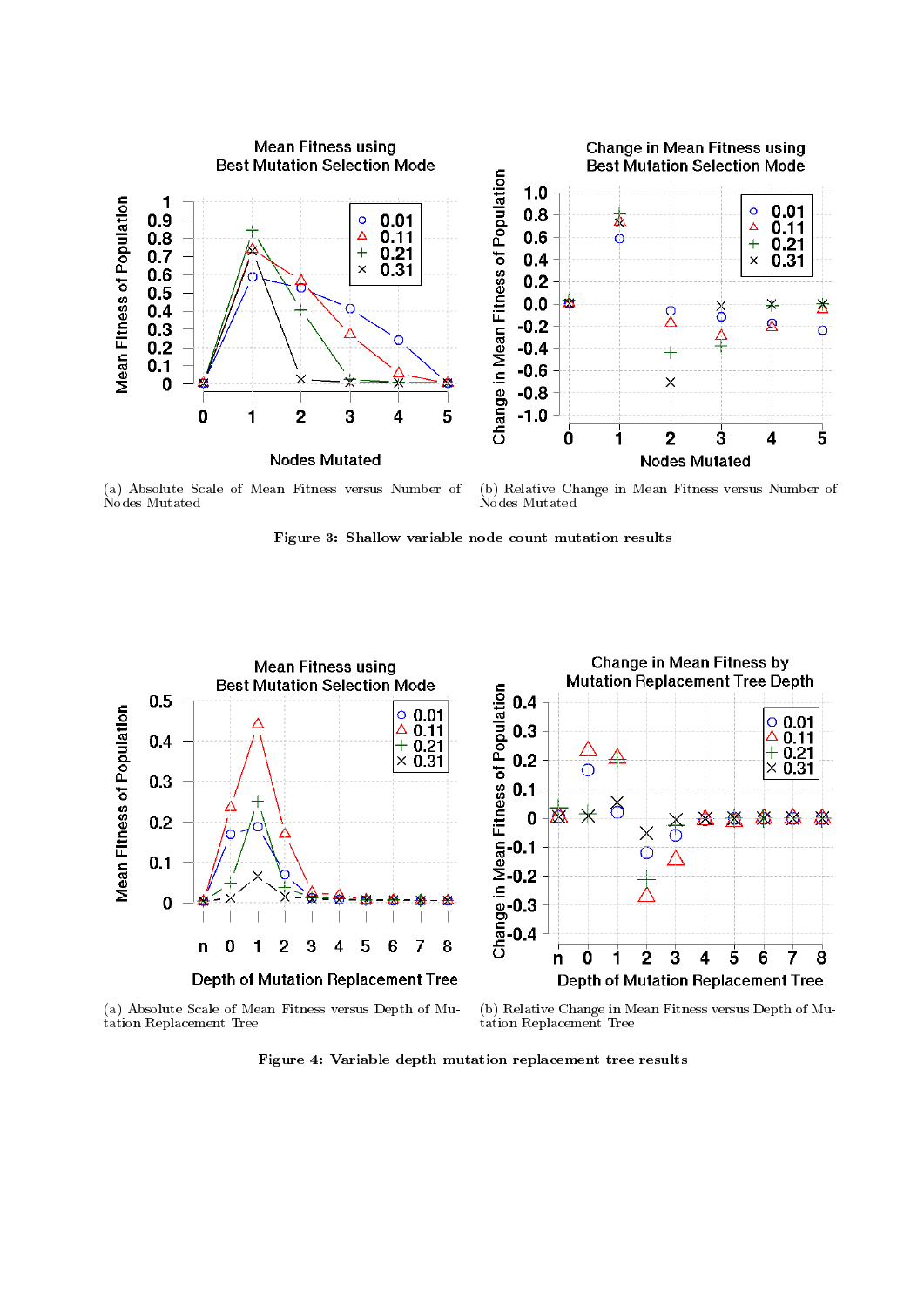

(a) Absolute Scale of Mean Fitness versus Number of Nodes Mutated







(a) Absolute Scale of Mean Fitness versus Depth of Mutation Replacement Tree

(b) Relative Change in Mean Fitness versus Depth of Mutation Replacement Tree

Figure 4: Variable depth mutation replacement tree results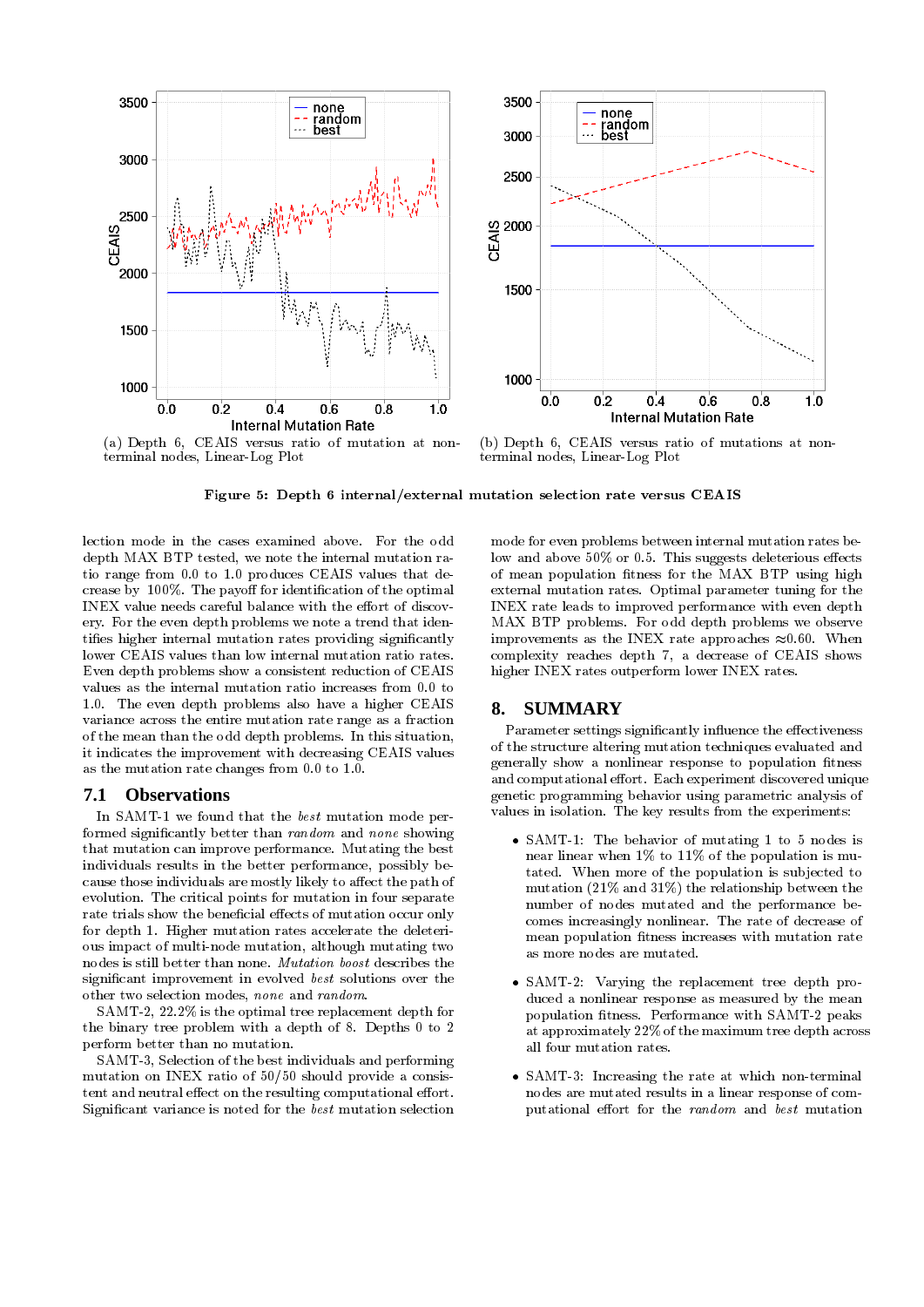



(a) Depth 6, CEAIS versus ratio of mutation at nonterminal nodes, Linear-Log Plot

(b) Depth 6, CEAIS versus ratio of mutations at nonterminal nodes, Linear-Log Plot

Figure 5: Depth 6 internal/external mutation selection rate versus CEAIS

lection mode in the cases examined above. For the odd depth MAX BTP tested, we note the internal mutation ratio range from 0.0 to 1.0 produces CEAIS values that decrease by 100%. The payoff for identification of the optimal INEX value needs careful balance with the effort of discovery. For the even depth problems we note a trend that identies higher internal mutation rates providing signicantly lower CEAIS values than low internal mutation ratio rates. Even depth problems show a consistent reduction of CEAIS values as the internal mutation ratio increases from 0.0 to 1.0. The even depth problems also have a higher CEAIS variance across the entire mutation rate range as a fraction of the mean than the odd depth problems. In this situation, it indicates the improvement with decreasing CEAIS values as the mutation rate changes from 0.0 to 1.0.

### **7.1 Observations**

In SAMT-1 we found that the best mutation mode performed significantly better than *random* and *none* showing that mutation can improve performance. Mutating the best individuals results in the better performance, possibly because those individuals are mostly likely to affect the path of evolution. The critical points for mutation in four separate rate trials show the beneficial effects of mutation occur only for depth 1. Higher mutation rates accelerate the deleterious impact of multi-node mutation, although mutating two nodes is still better than none. Mutation boost describes the significant improvement in evolved *best* solutions over the other two selection modes, none and random.

SAMT-2, 22.2% is the optimal tree replacement depth for the binary tree problem with a depth of 8. Depths 0 to 2 perform better than no mutation.

SAMT-3, Selection of the best individuals and performing mutation on INEX ratio of 50/50 should provide a consistent and neutral effect on the resulting computational effort. Signicant variance is noted for the best mutation selection

mode for even problems between internal mutation rates below and above  $50\%$  or 0.5. This suggests deleterious effects of mean population fitness for the MAX BTP using high external mutation rates. Optimal parameter tuning for the INEX rate leads to improved performance with even depth MAX BTP problems. For odd depth problems we observe improvements as the INEX rate approaches  $\approx 0.60$ . When complexity reaches depth 7, a decrease of CEAIS shows higher INEX rates outperform lower INEX rates.

### **8. SUMMARY**

Parameter settings significantly influence the effectiveness of the structure altering mutation techniques evaluated and generally show a nonlinear response to population fitness and computational effort. Each experiment discovered unique genetic programming behavior using parametric analysis of values in isolation. The key results from the experiments:

- SAMT-1: The behavior of mutating 1 to 5 nodes is near linear when 1% to 11% of the population is mutated. When more of the population is subjected to mutation (21% and 31%) the relationship between the number of nodes mutated and the performance becomes increasingly nonlinear. The rate of decrease of mean population fitness increases with mutation rate as more nodes are mutated.
- SAMT-2: Varying the replacement tree depth produced a nonlinear response as measured by the mean population fitness. Performance with SAMT-2 peaks at approximately 22% of the maximum tree depth across all four mutation rates.
- SAMT-3: Increasing the rate at which non-terminal nodes are mutated results in a linear response of computational effort for the *random* and *best* mutation